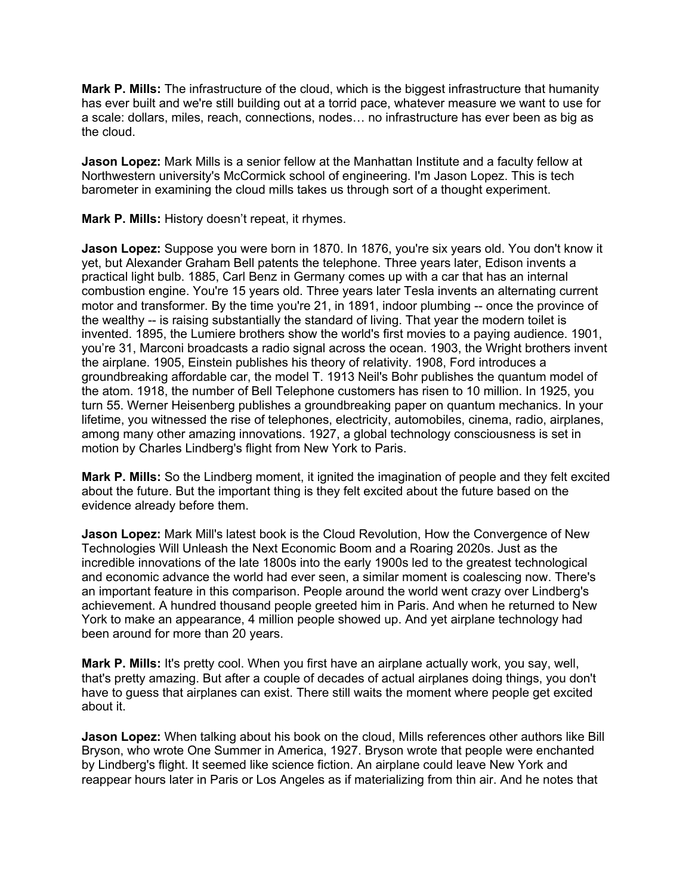**Mark P. Mills:** The infrastructure of the cloud, which is the biggest infrastructure that humanity has ever built and we're still building out at a torrid pace, whatever measure we want to use for a scale: dollars, miles, reach, connections, nodes… no infrastructure has ever been as big as the cloud.

**Jason Lopez:** Mark Mills is a senior fellow at the Manhattan Institute and a faculty fellow at Northwestern university's McCormick school of engineering. I'm Jason Lopez. This is tech barometer in examining the cloud mills takes us through sort of a thought experiment.

**Mark P. Mills:** History doesn't repeat, it rhymes.

**Jason Lopez:** Suppose you were born in 1870. In 1876, you're six years old. You don't know it yet, but Alexander Graham Bell patents the telephone. Three years later, Edison invents a practical light bulb. 1885, Carl Benz in Germany comes up with a car that has an internal combustion engine. You're 15 years old. Three years later Tesla invents an alternating current motor and transformer. By the time you're 21, in 1891, indoor plumbing -- once the province of the wealthy -- is raising substantially the standard of living. That year the modern toilet is invented. 1895, the Lumiere brothers show the world's first movies to a paying audience. 1901, you're 31, Marconi broadcasts a radio signal across the ocean. 1903, the Wright brothers invent the airplane. 1905, Einstein publishes his theory of relativity. 1908, Ford introduces a groundbreaking affordable car, the model T. 1913 Neil's Bohr publishes the quantum model of the atom. 1918, the number of Bell Telephone customers has risen to 10 million. In 1925, you turn 55. Werner Heisenberg publishes a groundbreaking paper on quantum mechanics. In your lifetime, you witnessed the rise of telephones, electricity, automobiles, cinema, radio, airplanes, among many other amazing innovations. 1927, a global technology consciousness is set in motion by Charles Lindberg's flight from New York to Paris.

**Mark P. Mills:** So the Lindberg moment, it ignited the imagination of people and they felt excited about the future. But the important thing is they felt excited about the future based on the evidence already before them.

**Jason Lopez:** Mark Mill's latest book is the Cloud Revolution, How the Convergence of New Technologies Will Unleash the Next Economic Boom and a Roaring 2020s. Just as the incredible innovations of the late 1800s into the early 1900s led to the greatest technological and economic advance the world had ever seen, a similar moment is coalescing now. There's an important feature in this comparison. People around the world went crazy over Lindberg's achievement. A hundred thousand people greeted him in Paris. And when he returned to New York to make an appearance, 4 million people showed up. And yet airplane technology had been around for more than 20 years.

**Mark P. Mills:** It's pretty cool. When you first have an airplane actually work, you say, well, that's pretty amazing. But after a couple of decades of actual airplanes doing things, you don't have to guess that airplanes can exist. There still waits the moment where people get excited about it.

**Jason Lopez:** When talking about his book on the cloud, Mills references other authors like Bill Bryson, who wrote One Summer in America, 1927. Bryson wrote that people were enchanted by Lindberg's flight. It seemed like science fiction. An airplane could leave New York and reappear hours later in Paris or Los Angeles as if materializing from thin air. And he notes that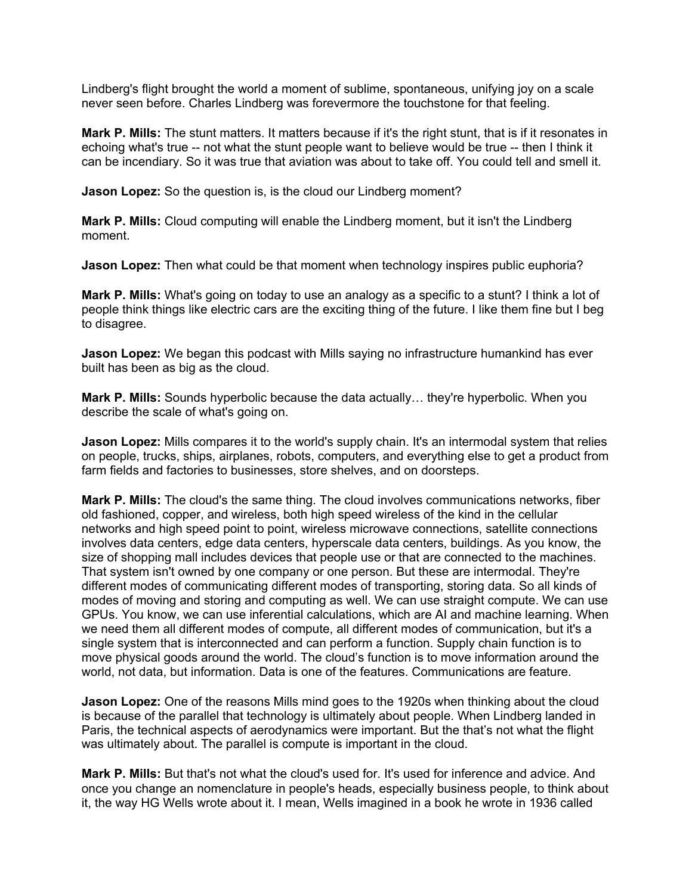Lindberg's flight brought the world a moment of sublime, spontaneous, unifying joy on a scale never seen before. Charles Lindberg was forevermore the touchstone for that feeling.

**Mark P. Mills:** The stunt matters. It matters because if it's the right stunt, that is if it resonates in echoing what's true -- not what the stunt people want to believe would be true -- then I think it can be incendiary. So it was true that aviation was about to take off. You could tell and smell it.

**Jason Lopez:** So the question is, is the cloud our Lindberg moment?

**Mark P. Mills:** Cloud computing will enable the Lindberg moment, but it isn't the Lindberg moment.

**Jason Lopez:** Then what could be that moment when technology inspires public euphoria?

**Mark P. Mills:** What's going on today to use an analogy as a specific to a stunt? I think a lot of people think things like electric cars are the exciting thing of the future. I like them fine but I beg to disagree.

**Jason Lopez:** We began this podcast with Mills saying no infrastructure humankind has ever built has been as big as the cloud.

**Mark P. Mills:** Sounds hyperbolic because the data actually… they're hyperbolic. When you describe the scale of what's going on.

**Jason Lopez:** Mills compares it to the world's supply chain. It's an intermodal system that relies on people, trucks, ships, airplanes, robots, computers, and everything else to get a product from farm fields and factories to businesses, store shelves, and on doorsteps.

**Mark P. Mills:** The cloud's the same thing. The cloud involves communications networks, fiber old fashioned, copper, and wireless, both high speed wireless of the kind in the cellular networks and high speed point to point, wireless microwave connections, satellite connections involves data centers, edge data centers, hyperscale data centers, buildings. As you know, the size of shopping mall includes devices that people use or that are connected to the machines. That system isn't owned by one company or one person. But these are intermodal. They're different modes of communicating different modes of transporting, storing data. So all kinds of modes of moving and storing and computing as well. We can use straight compute. We can use GPUs. You know, we can use inferential calculations, which are AI and machine learning. When we need them all different modes of compute, all different modes of communication, but it's a single system that is interconnected and can perform a function. Supply chain function is to move physical goods around the world. The cloud's function is to move information around the world, not data, but information. Data is one of the features. Communications are feature.

**Jason Lopez:** One of the reasons Mills mind goes to the 1920s when thinking about the cloud is because of the parallel that technology is ultimately about people. When Lindberg landed in Paris, the technical aspects of aerodynamics were important. But the that's not what the flight was ultimately about. The parallel is compute is important in the cloud.

**Mark P. Mills:** But that's not what the cloud's used for. It's used for inference and advice. And once you change an nomenclature in people's heads, especially business people, to think about it, the way HG Wells wrote about it. I mean, Wells imagined in a book he wrote in 1936 called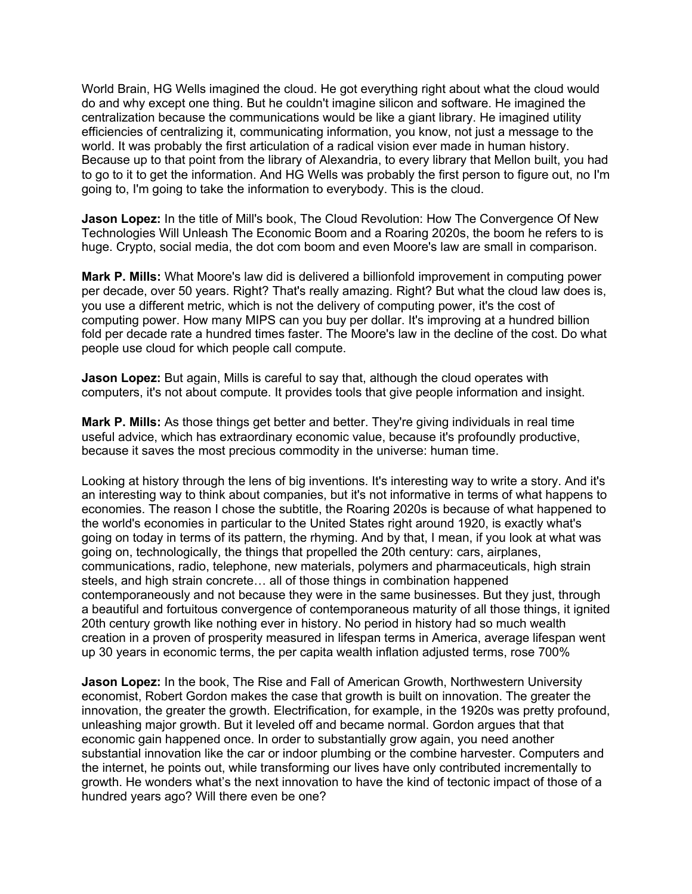World Brain, HG Wells imagined the cloud. He got everything right about what the cloud would do and why except one thing. But he couldn't imagine silicon and software. He imagined the centralization because the communications would be like a giant library. He imagined utility efficiencies of centralizing it, communicating information, you know, not just a message to the world. It was probably the first articulation of a radical vision ever made in human history. Because up to that point from the library of Alexandria, to every library that Mellon built, you had to go to it to get the information. And HG Wells was probably the first person to figure out, no I'm going to, I'm going to take the information to everybody. This is the cloud.

**Jason Lopez:** In the title of Mill's book, The Cloud Revolution: How The Convergence Of New Technologies Will Unleash The Economic Boom and a Roaring 2020s, the boom he refers to is huge. Crypto, social media, the dot com boom and even Moore's law are small in comparison.

**Mark P. Mills:** What Moore's law did is delivered a billionfold improvement in computing power per decade, over 50 years. Right? That's really amazing. Right? But what the cloud law does is, you use a different metric, which is not the delivery of computing power, it's the cost of computing power. How many MIPS can you buy per dollar. It's improving at a hundred billion fold per decade rate a hundred times faster. The Moore's law in the decline of the cost. Do what people use cloud for which people call compute.

**Jason Lopez:** But again, Mills is careful to say that, although the cloud operates with computers, it's not about compute. It provides tools that give people information and insight.

**Mark P. Mills:** As those things get better and better. They're giving individuals in real time useful advice, which has extraordinary economic value, because it's profoundly productive, because it saves the most precious commodity in the universe: human time.

Looking at history through the lens of big inventions. It's interesting way to write a story. And it's an interesting way to think about companies, but it's not informative in terms of what happens to economies. The reason I chose the subtitle, the Roaring 2020s is because of what happened to the world's economies in particular to the United States right around 1920, is exactly what's going on today in terms of its pattern, the rhyming. And by that, I mean, if you look at what was going on, technologically, the things that propelled the 20th century: cars, airplanes, communications, radio, telephone, new materials, polymers and pharmaceuticals, high strain steels, and high strain concrete… all of those things in combination happened contemporaneously and not because they were in the same businesses. But they just, through a beautiful and fortuitous convergence of contemporaneous maturity of all those things, it ignited 20th century growth like nothing ever in history. No period in history had so much wealth creation in a proven of prosperity measured in lifespan terms in America, average lifespan went up 30 years in economic terms, the per capita wealth inflation adjusted terms, rose 700%

**Jason Lopez:** In the book, The Rise and Fall of American Growth, Northwestern University economist, Robert Gordon makes the case that growth is built on innovation. The greater the innovation, the greater the growth. Electrification, for example, in the 1920s was pretty profound, unleashing major growth. But it leveled off and became normal. Gordon argues that that economic gain happened once. In order to substantially grow again, you need another substantial innovation like the car or indoor plumbing or the combine harvester. Computers and the internet, he points out, while transforming our lives have only contributed incrementally to growth. He wonders what's the next innovation to have the kind of tectonic impact of those of a hundred years ago? Will there even be one?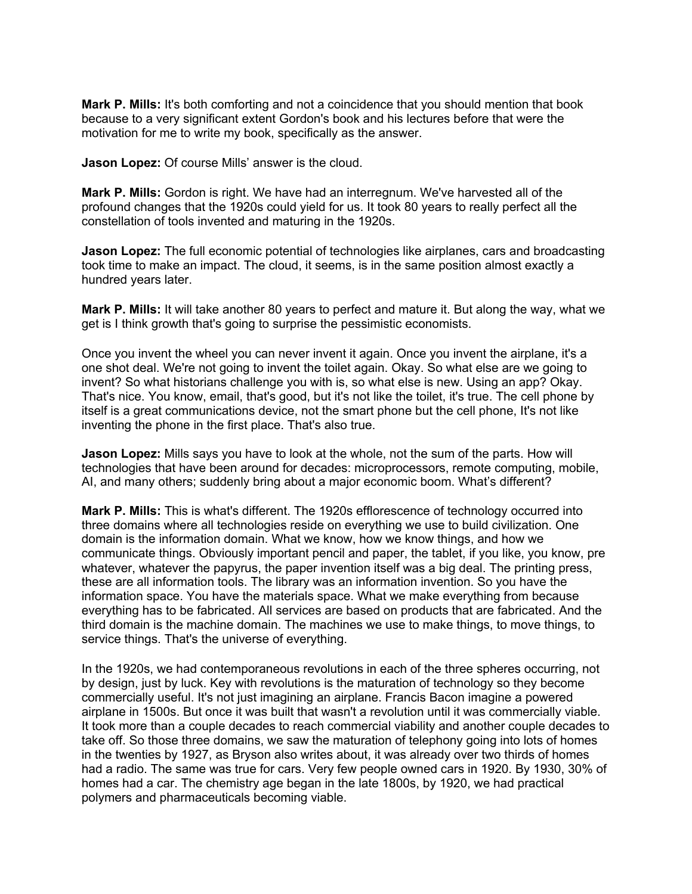**Mark P. Mills:** It's both comforting and not a coincidence that you should mention that book because to a very significant extent Gordon's book and his lectures before that were the motivation for me to write my book, specifically as the answer.

**Jason Lopez:** Of course Mills' answer is the cloud.

**Mark P. Mills:** Gordon is right. We have had an interregnum. We've harvested all of the profound changes that the 1920s could yield for us. It took 80 years to really perfect all the constellation of tools invented and maturing in the 1920s.

**Jason Lopez:** The full economic potential of technologies like airplanes, cars and broadcasting took time to make an impact. The cloud, it seems, is in the same position almost exactly a hundred years later.

**Mark P. Mills:** It will take another 80 years to perfect and mature it. But along the way, what we get is I think growth that's going to surprise the pessimistic economists.

Once you invent the wheel you can never invent it again. Once you invent the airplane, it's a one shot deal. We're not going to invent the toilet again. Okay. So what else are we going to invent? So what historians challenge you with is, so what else is new. Using an app? Okay. That's nice. You know, email, that's good, but it's not like the toilet, it's true. The cell phone by itself is a great communications device, not the smart phone but the cell phone, It's not like inventing the phone in the first place. That's also true.

**Jason Lopez:** Mills says you have to look at the whole, not the sum of the parts. How will technologies that have been around for decades: microprocessors, remote computing, mobile, AI, and many others; suddenly bring about a major economic boom. What's different?

**Mark P. Mills:** This is what's different. The 1920s efflorescence of technology occurred into three domains where all technologies reside on everything we use to build civilization. One domain is the information domain. What we know, how we know things, and how we communicate things. Obviously important pencil and paper, the tablet, if you like, you know, pre whatever, whatever the papyrus, the paper invention itself was a big deal. The printing press, these are all information tools. The library was an information invention. So you have the information space. You have the materials space. What we make everything from because everything has to be fabricated. All services are based on products that are fabricated. And the third domain is the machine domain. The machines we use to make things, to move things, to service things. That's the universe of everything.

In the 1920s, we had contemporaneous revolutions in each of the three spheres occurring, not by design, just by luck. Key with revolutions is the maturation of technology so they become commercially useful. It's not just imagining an airplane. Francis Bacon imagine a powered airplane in 1500s. But once it was built that wasn't a revolution until it was commercially viable. It took more than a couple decades to reach commercial viability and another couple decades to take off. So those three domains, we saw the maturation of telephony going into lots of homes in the twenties by 1927, as Bryson also writes about, it was already over two thirds of homes had a radio. The same was true for cars. Very few people owned cars in 1920. By 1930, 30% of homes had a car. The chemistry age began in the late 1800s, by 1920, we had practical polymers and pharmaceuticals becoming viable.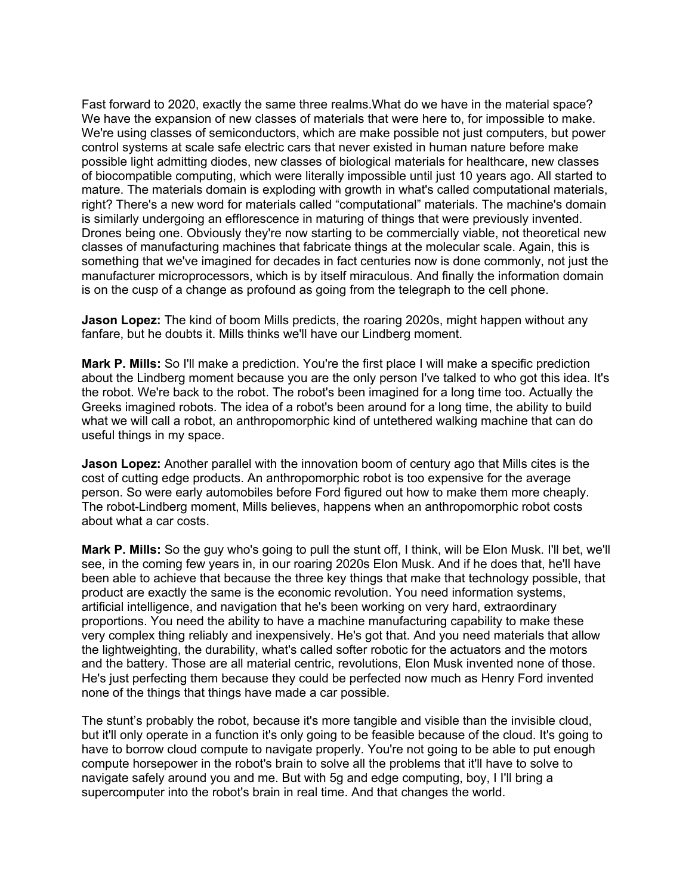Fast forward to 2020, exactly the same three realms.What do we have in the material space? We have the expansion of new classes of materials that were here to, for impossible to make. We're using classes of semiconductors, which are make possible not just computers, but power control systems at scale safe electric cars that never existed in human nature before make possible light admitting diodes, new classes of biological materials for healthcare, new classes of biocompatible computing, which were literally impossible until just 10 years ago. All started to mature. The materials domain is exploding with growth in what's called computational materials, right? There's a new word for materials called "computational" materials. The machine's domain is similarly undergoing an efflorescence in maturing of things that were previously invented. Drones being one. Obviously they're now starting to be commercially viable, not theoretical new classes of manufacturing machines that fabricate things at the molecular scale. Again, this is something that we've imagined for decades in fact centuries now is done commonly, not just the manufacturer microprocessors, which is by itself miraculous. And finally the information domain is on the cusp of a change as profound as going from the telegraph to the cell phone.

**Jason Lopez:** The kind of boom Mills predicts, the roaring 2020s, might happen without any fanfare, but he doubts it. Mills thinks we'll have our Lindberg moment.

**Mark P. Mills:** So I'll make a prediction. You're the first place I will make a specific prediction about the Lindberg moment because you are the only person I've talked to who got this idea. It's the robot. We're back to the robot. The robot's been imagined for a long time too. Actually the Greeks imagined robots. The idea of a robot's been around for a long time, the ability to build what we will call a robot, an anthropomorphic kind of untethered walking machine that can do useful things in my space.

**Jason Lopez:** Another parallel with the innovation boom of century ago that Mills cites is the cost of cutting edge products. An anthropomorphic robot is too expensive for the average person. So were early automobiles before Ford figured out how to make them more cheaply. The robot-Lindberg moment, Mills believes, happens when an anthropomorphic robot costs about what a car costs.

**Mark P. Mills:** So the guy who's going to pull the stunt off, I think, will be Elon Musk. I'll bet, we'll see, in the coming few years in, in our roaring 2020s Elon Musk. And if he does that, he'll have been able to achieve that because the three key things that make that technology possible, that product are exactly the same is the economic revolution. You need information systems, artificial intelligence, and navigation that he's been working on very hard, extraordinary proportions. You need the ability to have a machine manufacturing capability to make these very complex thing reliably and inexpensively. He's got that. And you need materials that allow the lightweighting, the durability, what's called softer robotic for the actuators and the motors and the battery. Those are all material centric, revolutions, Elon Musk invented none of those. He's just perfecting them because they could be perfected now much as Henry Ford invented none of the things that things have made a car possible.

The stunt's probably the robot, because it's more tangible and visible than the invisible cloud, but it'll only operate in a function it's only going to be feasible because of the cloud. It's going to have to borrow cloud compute to navigate properly. You're not going to be able to put enough compute horsepower in the robot's brain to solve all the problems that it'll have to solve to navigate safely around you and me. But with 5g and edge computing, boy, I I'll bring a supercomputer into the robot's brain in real time. And that changes the world.